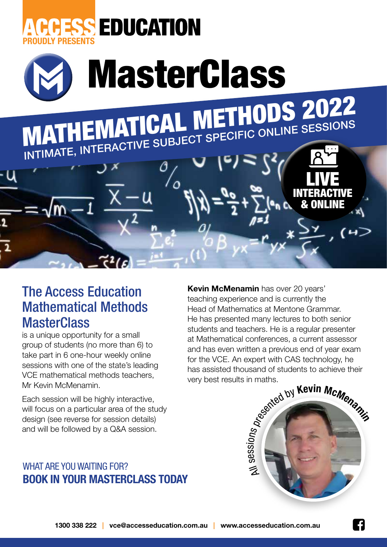



## The Access Education Mathematical Methods **MasterClass**

is a unique opportunity for a small group of students (no more than 6) to take part in 6 one-hour weekly online sessions with one of the state's leading VCE mathematical methods teachers, Mr Kevin McMenamin.

Each session will be highly interactive, will focus on a particular area of the study design (see reverse for session details) and will be followed by a Q&A session.

## WHAT ARE YOU WAITING FOR? **BOOK IN YOUR MASTERCLASS TODAY**

**Kevin McMenamin** has over 20 years' teaching experience and is currently the Head of Mathematics at Mentone Grammar. He has presented many lectures to both senior students and teachers. He is a regular presenter at Mathematical conferences, a current assessor and has even written a previous end of year exam for the VCE. An expert with CAS technology, he has assisted thousand of students to achieve their very best results in maths.